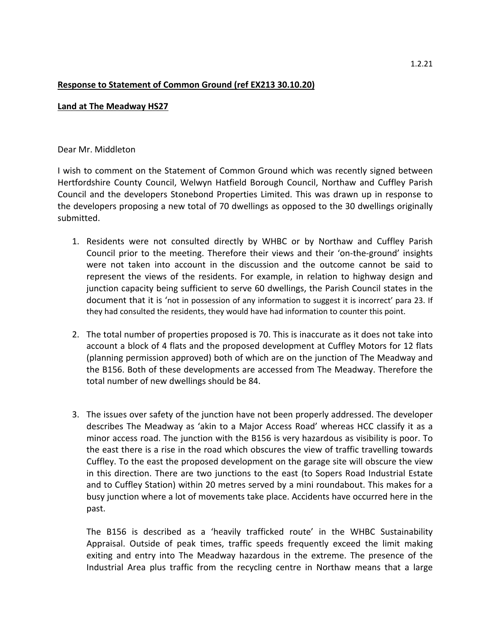## **Response to Statement of Common Ground (ref EX213 30.10.20)**

## **Land at The Meadway HS27**

## Dear Mr. Middleton

I wish to comment on the Statement of Common Ground which was recently signed between Hertfordshire County Council, Welwyn Hatfield Borough Council, Northaw and Cuffley Parish Council and the developers Stonebond Properties Limited. This was drawn up in response to the developers proposing a new total of 70 dwellings as opposed to the 30 dwellings originally submitted.

- 1. Residents were not consulted directly by WHBC or by Northaw and Cuffley Parish Council prior to the meeting. Therefore their views and their 'on-the-ground' insights were not taken into account in the discussion and the outcome cannot be said to represent the views of the residents. For example, in relation to highway design and junction capacity being sufficient to serve 60 dwellings, the Parish Council states in the document that it is 'not in possession of any information to suggest it is incorrect' para 23. If they had consulted the residents, they would have had information to counter this point.
- 2. The total number of properties proposed is 70. This is inaccurate as it does not take into account a block of 4 flats and the proposed development at Cuffley Motors for 12 flats (planning permission approved) both of which are on the junction of The Meadway and the B156. Both of these developments are accessed from The Meadway. Therefore the total number of new dwellings should be 84.
- 3. The issues over safety of the junction have not been properly addressed. The developer describes The Meadway as 'akin to a Major Access Road' whereas HCC classify it as a minor access road. The junction with the B156 is very hazardous as visibility is poor. To the east there is a rise in the road which obscures the view of traffic travelling towards Cuffley. To the east the proposed development on the garage site will obscure the view in this direction. There are two junctions to the east (to Sopers Road Industrial Estate and to Cuffley Station) within 20 metres served by a mini roundabout. This makes for a busy junction where a lot of movements take place. Accidents have occurred here in the past.

The B156 is described as a 'heavily trafficked route' in the WHBC Sustainability Appraisal. Outside of peak times, traffic speeds frequently exceed the limit making exiting and entry into The Meadway hazardous in the extreme. The presence of the Industrial Area plus traffic from the recycling centre in Northaw means that a large